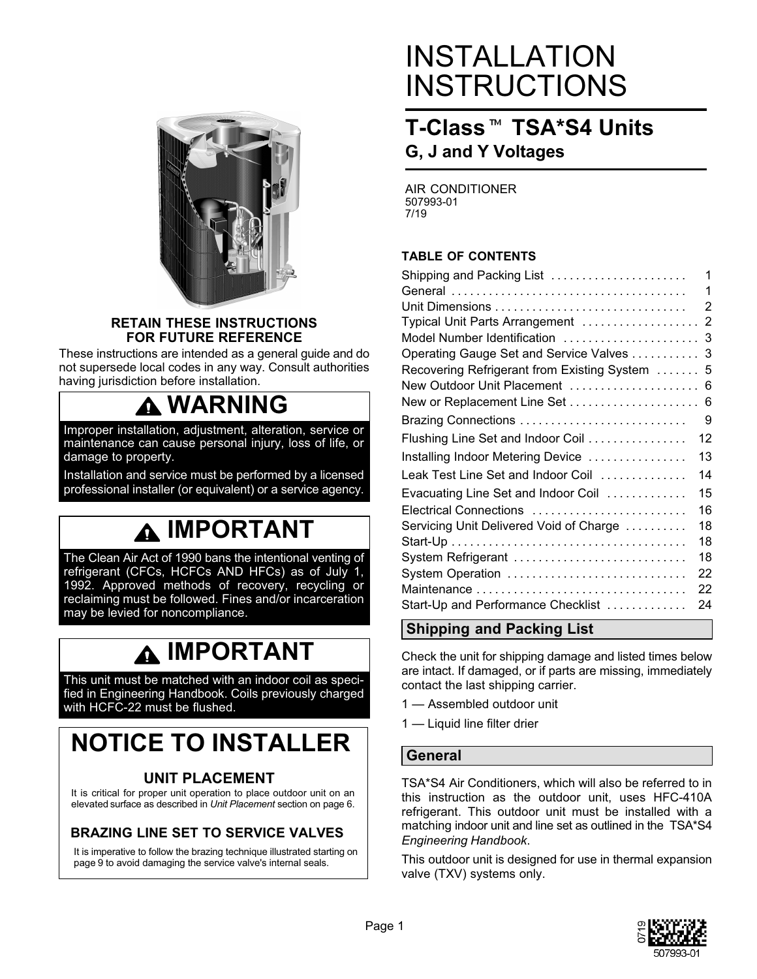

#### **RETAIN THESE INSTRUCTIONS FOR FUTURE REFERENCE**

These instructions are intended as a general guide and do not supersede local codes in any way. Consult authorities having jurisdiction before installation.

# **WARNING**

Improper installation, adjustment, alteration, service or maintenance can cause personal injury, loss of life, or damage to property.

Installation and service must be performed by a licensed professional installer (or equivalent) or a service agency.

# **IMPORTANT**

The Clean Air Act of 1990 bans the intentional venting of refrigerant (CFCs, HCFCs AND HFCs) as of July 1, 1992. Approved methods of recovery, recycling or reclaiming must be followed. Fines and/or incarceration may be levied for noncompliance.

# **IMPORTANT**

This unit must be matched with an indoor coil as specified in Engineering Handbook. Coils previously charged with HCFC-22 must be flushed.

# **NOTICE TO INSTALLER**

#### **UNIT PLACEMENT**

It is critical for proper unit operation to place outdoor unit on an elevated surface as described in *Unit Placement* section on page [6.](#page-5-0)

#### **BRAZING LINE SET TO SERVICE VALVES**

It is imperative to follow the brazing technique illustrated starting on page [9](#page-8-0) to avoid damaging the service valve's internal seals.

# INSTALLATION **INSTRUCTIONS<br>T-Class™ TSA\*S4 Un**

### **T-Class<sup>™</sup> TSA\*S4 Units G, J and Y Voltages**

AIR CONDITIONER 507993-01 7/19

#### **TABLE OF CONTENTS**

| Shipping and Packing List                   | 1  |
|---------------------------------------------|----|
|                                             | 1  |
| Unit Dimensions                             | 2  |
| Typical Unit Parts Arrangement              | 2  |
| Model Number Identification                 | 3  |
| Operating Gauge Set and Service Valves      | 3  |
| Recovering Refrigerant from Existing System | 5  |
| New Outdoor Unit Placement                  | 6  |
| New or Replacement Line Set                 | 6  |
| Brazing Connections                         | 9  |
| Flushing Line Set and Indoor Coil           | 12 |
| Installing Indoor Metering Device           | 13 |
| Leak Test Line Set and Indoor Coil          | 14 |
| Evacuating Line Set and Indoor Coil         | 15 |
| Electrical Connections                      | 16 |
| Servicing Unit Delivered Void of Charge     | 18 |
|                                             | 18 |
| System Refrigerant                          | 18 |
| System Operation                            | 22 |
|                                             | 22 |
| Start-Up and Performance Checklist          | 24 |

#### **Shipping and Packing List**

Check the unit for shipping damage and listed times below are intact. If damaged, or if parts are missing, immediately contact the last shipping carrier.

- 1 Assembled outdoor unit
- 1 Liquid line filter drier

#### **General**

TSA\*S4 Air Conditioners, which will also be referred to in this instruction as the outdoor unit, uses HFC-410A refrigerant. This outdoor unit must be installed with a matching indoor unit and line set as outlined in the TSA\*S4 *Engineering Handbook*.

This outdoor unit is designed for use in thermal expansion valve (TXV) systems only.

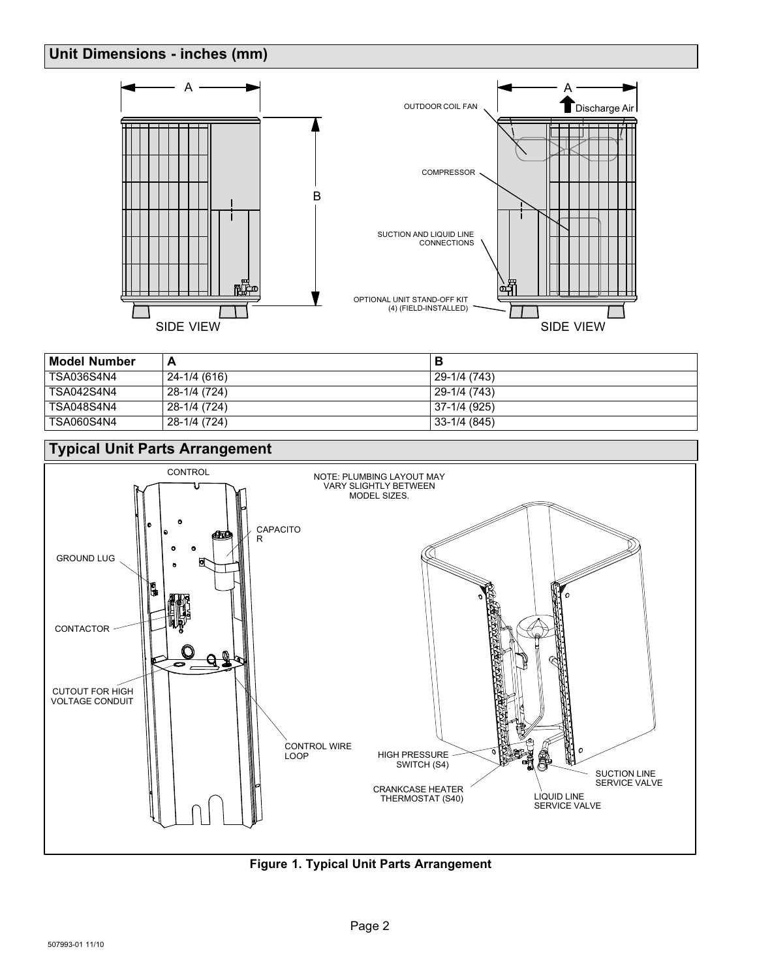#### <span id="page-1-0"></span>**Unit Dimensions - inches (mm)**



| <b>Model Number</b> | А            |              |
|---------------------|--------------|--------------|
| <b>TSA036S4N4</b>   | 24-1/4 (616) | 29-1/4 (743) |
| <b>TSA042S4N4</b>   | 28-1/4 (724) | 29-1/4 (743) |
| TSA048S4N4          | 28-1/4 (724) | 37-1/4 (925) |
| <b>TSA060S4N4</b>   | 28-1/4 (724) | 33-1/4 (845) |



**Figure 1. Typical Unit Parts Arrangement**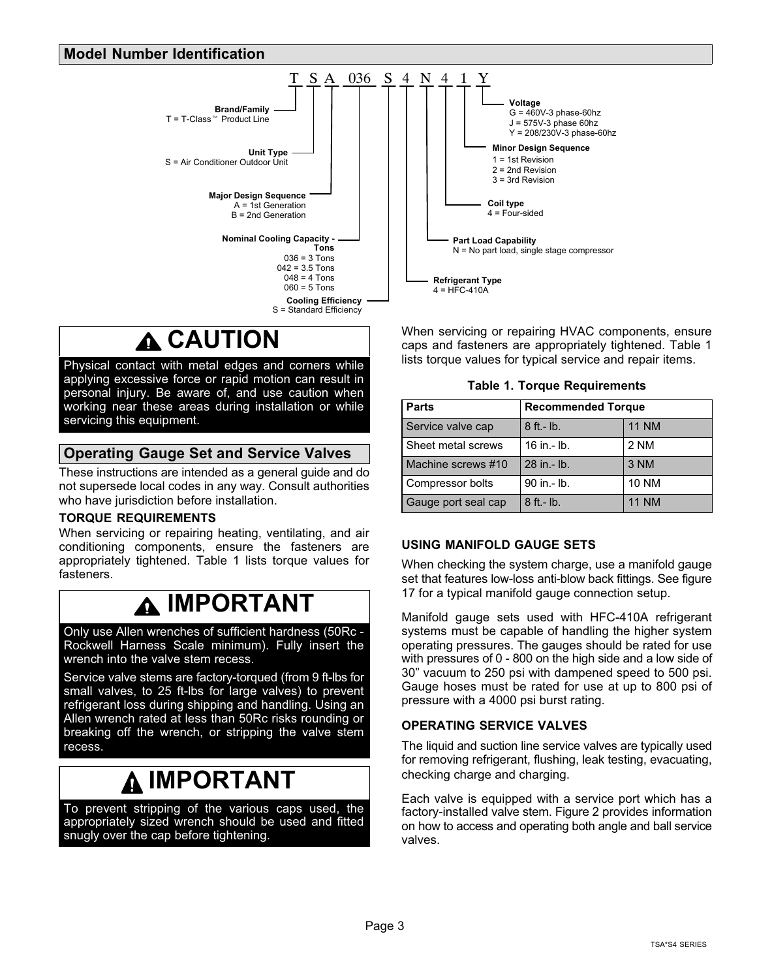#### <span id="page-2-0"></span>**Model Number Identification**



When servicing or repairing HVAC components, ensure caps and fasteners are appropriately tightened. Table 1 lists torque values for typical service and repair items.

**Table 1. Torque Requirements**

| <b>Parts</b>        | <b>Recommended Torque</b> |              |  |  |  |  |
|---------------------|---------------------------|--------------|--|--|--|--|
| Service valve cap   | $8$ ft.- $lb$ .           | <b>11 NM</b> |  |  |  |  |
| Sheet metal screws  | 16 in $-$ lb.             | 2 NM         |  |  |  |  |
| Machine screws #10  | 28 in - lb.               | 3 NM         |  |  |  |  |
| Compressor bolts    | 90 in .- lb.              | <b>10 NM</b> |  |  |  |  |
| Gauge port seal cap | $8$ ft. - lb.             | <b>11 NM</b> |  |  |  |  |

#### **USING MANIFOLD GAUGE SETS**

When checking the system charge, use a manifold gauge set that features low-loss anti-blow back fittings. See figure [17](#page-17-0) for a typical manifold gauge connection setup.

Manifold gauge sets used with HFC-410A refrigerant systems must be capable of handling the higher system operating pressures. The gauges should be rated for use with pressures of 0 - 800 on the high side and a low side of 30" vacuum to 250 psi with dampened speed to 500 psi. Gauge hoses must be rated for use at up to 800 psi of pressure with a 4000 psi burst rating.

#### **OPERATING SERVICE VALVES**

The liquid and suction line service valves are typically used for removing refrigerant, flushing, leak testing, evacuating, checking charge and charging.

Each valve is equipped with a service port which has a factory-installed valve stem. Figure [2](#page-3-0) provides information on how to access and operating both angle and ball service valves.

# **CAUTION**

Physical contact with metal edges and corners while applying excessive force or rapid motion can result in personal injury. Be aware of, and use caution when working near these areas during installation or while servicing this equipment.

#### **Operating Gauge Set and Service Valves**

These instructions are intended as a general guide and do not supersede local codes in any way. Consult authorities who have jurisdiction before installation.

#### **TORQUE REQUIREMENTS**

When servicing or repairing heating, ventilating, and air conditioning components, ensure the fasteners are appropriately tightened. Table 1 lists torque values for fasteners.

### **IMPORTANT**

Only use Allen wrenches of sufficient hardness (50Rc - Rockwell Harness Scale minimum). Fully insert the wrench into the valve stem recess.

Service valve stems are factory-torqued (from 9 ft-lbs for small valves, to 25 ft-lbs for large valves) to prevent refrigerant loss during shipping and handling. Using an Allen wrench rated at less than 50Rc risks rounding or breaking off the wrench, or stripping the valve stem recess.

### **IMPORTANT**

To prevent stripping of the various caps used, the appropriately sized wrench should be used and fitted snugly over the cap before tightening.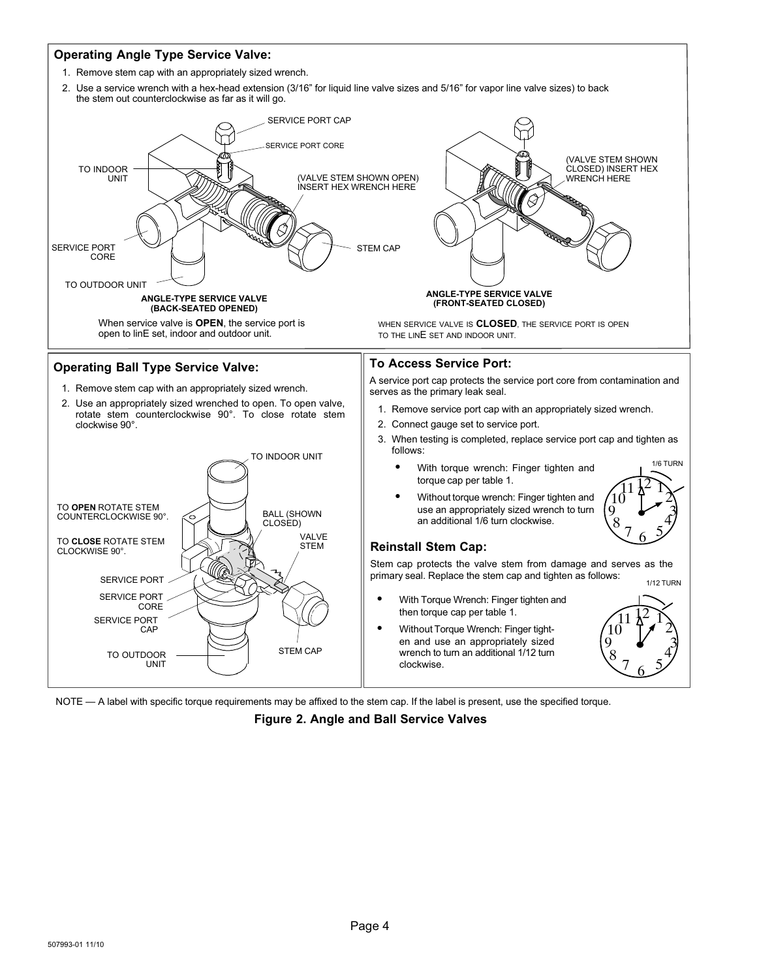<span id="page-3-0"></span>

NOTE — A label with specific torque requirements may be affixed to the stem cap. If the label is present, use the specified torque.

**Figure 2. Angle and Ball Service Valves**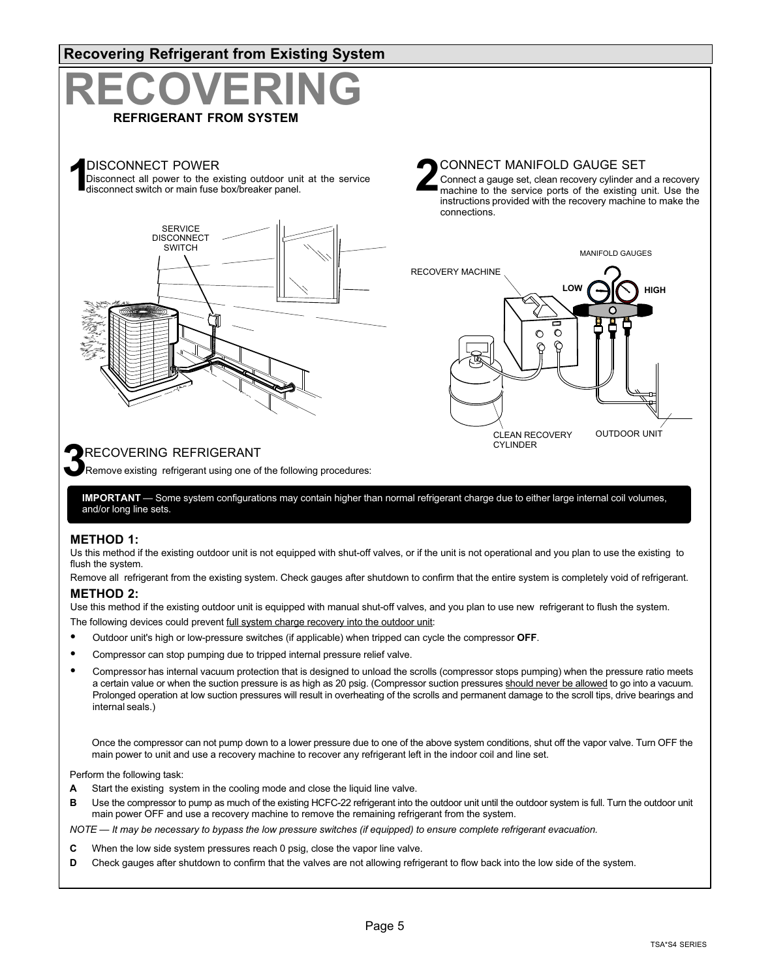<span id="page-4-0"></span>

#### **METHOD 1:**

Us this method if the existing outdoor unit is not equipped with shut-off valves, or if the unit is not operational and you plan to use the existing to flush the system.

Remove all refrigerant from the existing system. Check gauges after shutdown to confirm that the entire system is completely void of refrigerant.

#### **METHOD 2:**

Use this method if the existing outdoor unit is equipped with manual shut-off valves, and you plan to use new refrigerant to flush the system.

The following devices could prevent <u>full system charge recovery into the outdoor unit</u>:

- Outdoor unit's high or low-pressure switches (if applicable) when tripped can cycle the compressor **OFF**.
- Compressor can stop pumping due to tripped internal pressure relief valve.
- Compressor has internal vacuum protection that is designed to unload the scrolls (compressor stops pumping) when the pressure ratio meets a certain value or when the suction pressure is as high as 20 psig. (Compressor suction pressures should never be allowed to go into a vacuum. Prolonged operation at low suction pressures will result in overheating of the scrolls and permanent damage to the scroll tips, drive bearings and internal seals.)

Once the compressor can not pump down to a lower pressure due to one of the above system conditions, shut off the vapor valve. Turn OFF the main power to unit and use a recovery machine to recover any refrigerant left in the indoor coil and line set.

Perform the following task:

- **A** Start the existing system in the cooling mode and close the liquid line valve.
- **B** Use the compressor to pump as much of the existing HCFC-22 refrigerant into the outdoor unit until the outdoor system is full. Turn the outdoor unit main power OFF and use a recovery machine to remove the remaining refrigerant from the system.

*NOTE — It may be necessary to bypass the low pressure switches (if equipped) to ensure complete refrigerant evacuation.*

- **C** When the low side system pressures reach 0 psig, close the vapor line valve.
- **D** Check gauges after shutdown to confirm that the valves are not allowing refrigerant to flow back into the low side of the system.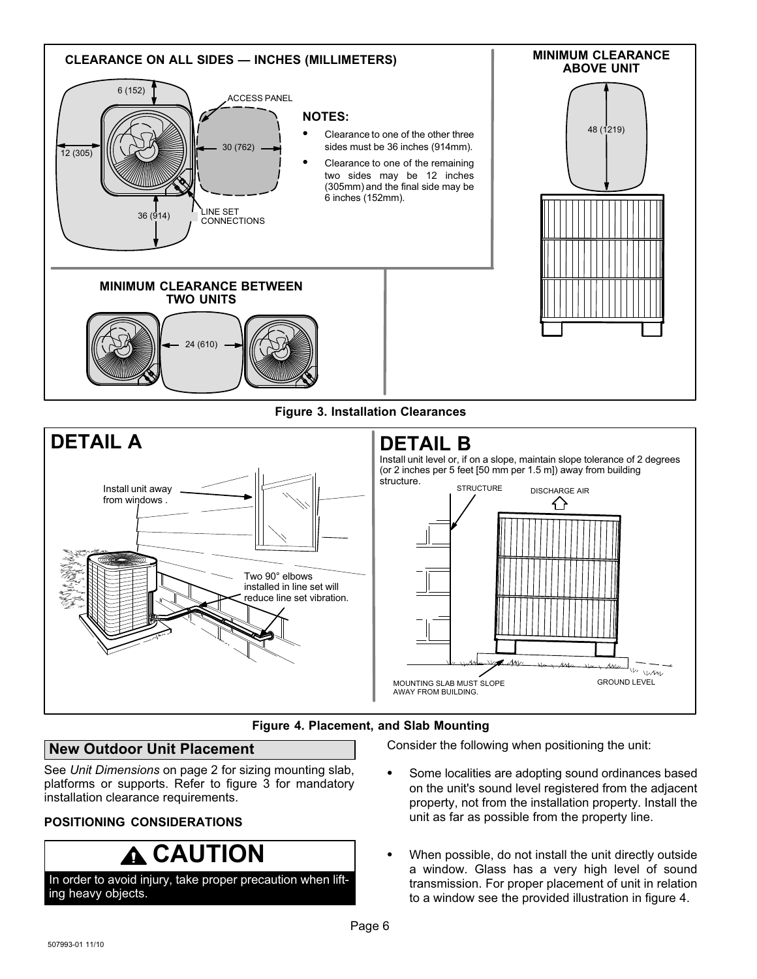<span id="page-5-0"></span>



#### **New Outdoor Unit Placement**

See *Unit Dimensions* on page [2](#page-1-0) for sizing mounting slab, platforms or supports. Refer to figure 3 for mandatory installation clearance requirements.

#### **POSITIONING CONSIDERATIONS**

### **A** CAUTION

In order to avoid injury, take proper precaution when lifting heavy objects.

Consider the following when positioning the unit:

- Some localities are adopting sound ordinances based on the unit's sound level registered from the adjacent property, not from the installation property. Install the unit as far as possible from the property line.
- When possible, do not install the unit directly outside a window. Glass has a very high level of sound transmission. For proper placement of unit in relation to a window see the provided illustration in figure 4.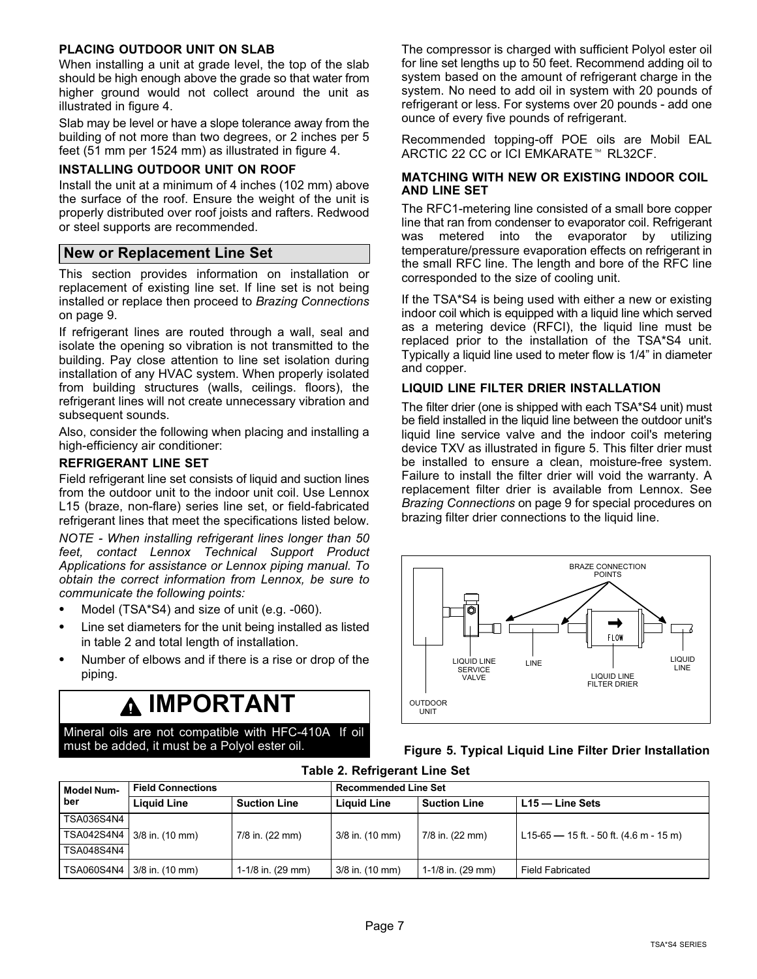#### **PLACING OUTDOOR UNIT ON SLAB**

When installing a unit at grade level, the top of the slab should be high enough above the grade so that water from higher ground would not collect around the unit as illustrated in figure [4](#page-5-0).

Slab may be level or have a slope tolerance away from the building of not more than two degrees, or 2 inches per 5 feet (51 mm per 1524 mm) as illustrated in figure [4.](#page-5-0)

#### **INSTALLING OUTDOOR UNIT ON ROOF**

Install the unit at a minimum of 4 inches (102 mm) above the surface of the roof. Ensure the weight of the unit is properly distributed over roof joists and rafters. Redwood or steel supports are recommended.

#### **New or Replacement Line Set**

This section provides information on installation or replacement of existing line set. If line set is not being installed or replace then proceed to *Brazing Connections* on page [9](#page-8-0).

If refrigerant lines are routed through a wall, seal and isolate the opening so vibration is not transmitted to the building. Pay close attention to line set isolation during installation of any HVAC system. When properly isolated from building structures (walls, ceilings. floors), the refrigerant lines will not create unnecessary vibration and subsequent sounds.

Also, consider the following when placing and installing a high-efficiency air conditioner:

#### **REFRIGERANT LINE SET**

Field refrigerant line set consists of liquid and suction lines from the outdoor unit to the indoor unit coil. Use Lennox L15 (braze, non-flare) series line set, or field-fabricated refrigerant lines that meet the specifications listed below.

*NOTE - When installing refrigerant lines longer than 50 feet, contact Lennox Technical Support Product Applications for assistance or Lennox piping manual. To obtain the correct information from Lennox, be sure to communicate the following points:*

- Model (TSA\*S4) and size of unit (e.g. -060).
- Line set diameters for the unit being installed as listed in table 2 and total length of installation.
- Number of elbows and if there is a rise or drop of the piping.

### **IMPORTANT**

Mineral oils are not compatible with HFC-410A. If oil must be added, it must be a Polyol ester oil.

The compressor is charged with sufficient Polyol ester oil for line set lengths up to 50 feet. Recommend adding oil to system based on the amount of refrigerant charge in the system. No need to add oil in system with 20 pounds of refrigerant or less. For systems over 20 pounds - add one ounce of every five pounds of refrigerant.

Recommended topping-off POE oils are Mobil EAL ARCTIC 22 CC or ICI EMKARATE™ RL32CF.

#### **MATCHING WITH NEW OR EXISTING INDOOR COIL AND LINE SET**

The RFC1-metering line consisted of a small bore copper line that ran from condenser to evaporator coil. Refrigerant was metered into the evaporator by utilizing temperature/pressure evaporation effects on refrigerant in the small RFC line. The length and bore of the RFC line corresponded to the size of cooling unit.

If the TSA\*S4 is being used with either a new or existing indoor coil which is equipped with a liquid line which served as a metering device (RFCI), the liquid line must be replaced prior to the installation of the TSA\*S4 unit. Typically a liquid line used to meter flow is 1/4" in diameter and copper.

#### **LIQUID LINE FILTER DRIER INSTALLATION**

The filter drier (one is shipped with each TSA\*S4 unit) must be field installed in the liquid line between the outdoor unit's liquid line service valve and the indoor coil's metering device TXV as illustrated in figure 5. This filter drier must be installed to ensure a clean, moisture-free system. Failure to install the filter drier will void the warranty. A replacement filter drier is available from Lennox. See *Brazing Connections* on page [9](#page-8-0) for special procedures on brazing filter drier connections to the liquid line.



| Figure 5. Typical Liquid Line Filter Drier Installation |  |  |  |
|---------------------------------------------------------|--|--|--|
|---------------------------------------------------------|--|--|--|

**Table 2. Refrigerant Line Set**

| l Model Num-<br>ber | <b>Field Connections</b>     |                             | <b>Recommended Line Set</b>               |                             |                                         |  |  |
|---------------------|------------------------------|-----------------------------|-------------------------------------------|-----------------------------|-----------------------------------------|--|--|
|                     | <b>Liquid Line</b>           | <b>Suction Line</b>         | <b>Liquid Line</b><br><b>Suction Line</b> |                             | L15 — Line Sets                         |  |  |
| TSA036S4N4          |                              |                             |                                           |                             |                                         |  |  |
|                     | TSA042S4N4 3/8 in. (10 mm)   | 7/8 in. (22 mm)             | 3/8 in. (10 mm)                           | 7/8 in. (22 mm)             | L15-65 - 15 ft. - 50 ft. (4.6 m - 15 m) |  |  |
| <b>TSA048S4N4</b>   |                              |                             |                                           |                             |                                         |  |  |
|                     | TSA060S4N4   3/8 in. (10 mm) | 1-1/8 in. $(29 \text{ mm})$ | 3/8 in. (10 mm)                           | 1-1/8 in. $(29 \text{ mm})$ | <b>Field Fabricated</b>                 |  |  |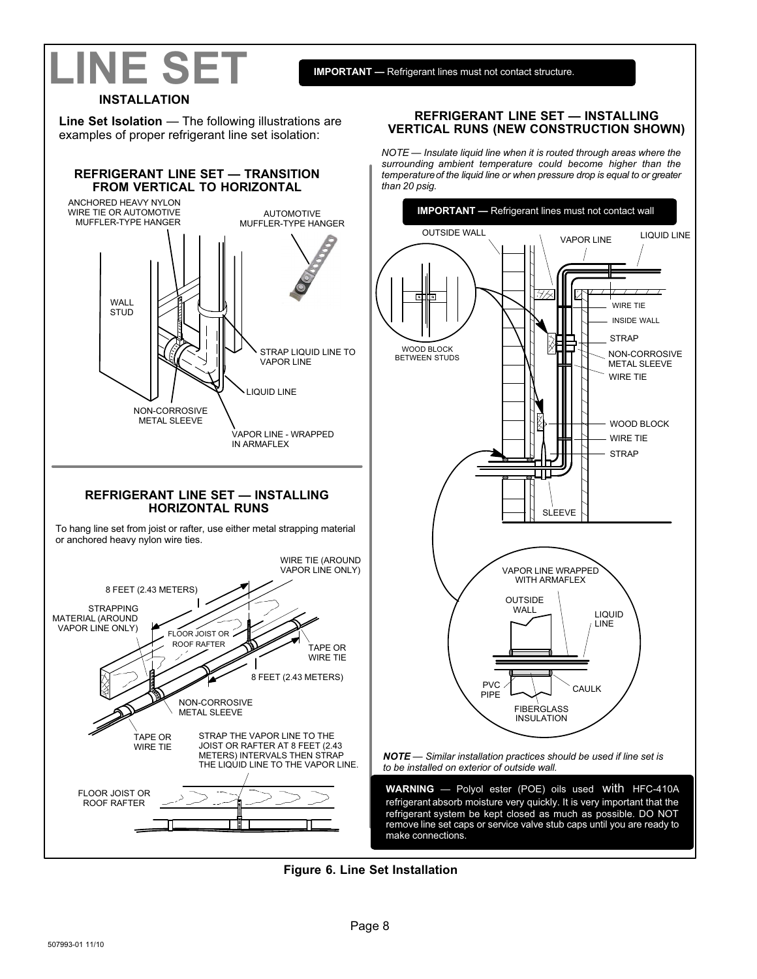# **LINE SET**

**IMPORTANT —** Refrigerant lines must not contact structure.

#### **INSTALLATION**

**Line Set Isolation** — The following illustrations are examples of proper refrigerant line set isolation:



#### **REFRIGERANT LINE SET — INSTALLING VERTICAL RUNS (NEW CONSTRUCTION SHOWN)**

*NOTE — Insulate liquid line when it is routed through areas where the surrounding ambient temperature could become higher than the temperature of the liquid line or when pressure drop is equal to or greater than 20 psig.*



remove line set caps or service valve stub caps until you are ready to

**Figure 6. Line Set Installation**

make connections.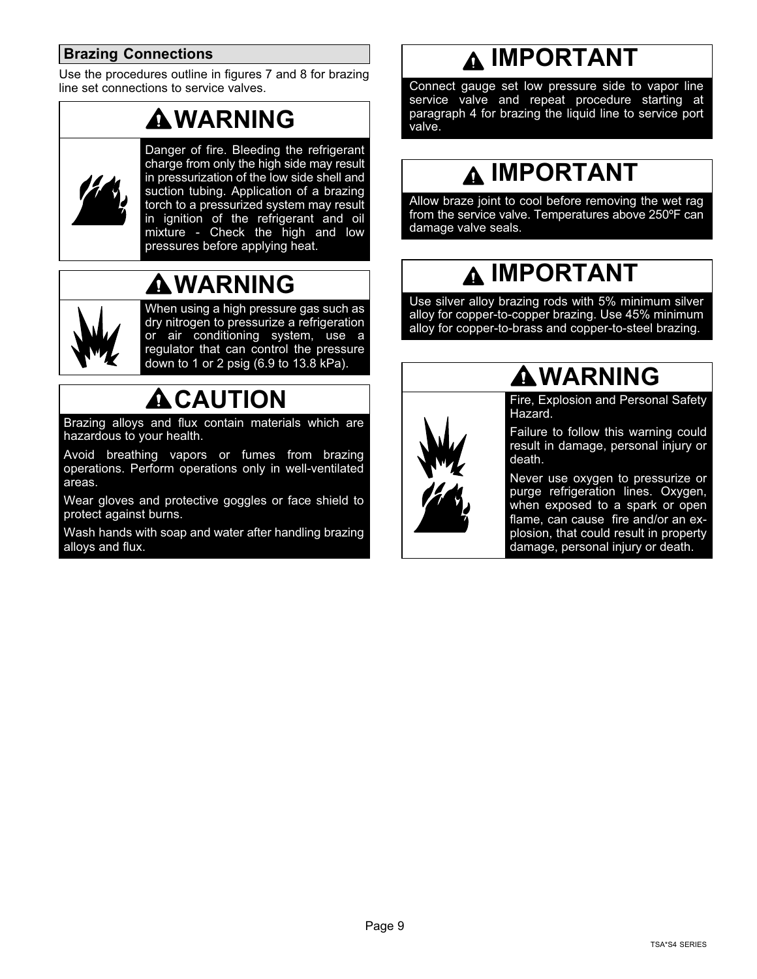#### <span id="page-8-0"></span>**Brazing Connections**

Use the procedures outline in figures [7](#page-9-0) and [8](#page-10-0) for brazing line set connections to service valves.

# **WARNING**



Danger of fire. Bleeding the refrigerant charge from only the high side may result in pressurization of the low side shell and suction tubing. Application of a brazing torch to a pressurized system may result in ignition of the refrigerant and oil mixture - Check the high and low pressures before applying heat.

# **WARNING**



When using a high pressure gas such as dry nitrogen to pressurize a refrigeration or air conditioning system, use a regulator that can control the pressure down to 1 or 2 psig (6.9 to 13.8 kPa).

# **ACAUTION**

Brazing alloys and flux contain materials which are hazardous to your health.

Avoid breathing vapors or fumes from brazing operations. Perform operations only in well-ventilated areas.

Wear gloves and protective goggles or face shield to protect against burns.

Wash hands with soap and water after handling brazing alloys and flux.

## **IMPORTANT**

Connect gauge set low pressure side to vapor line service valve and repeat procedure starting at paragraph 4 for brazing the liquid line to service port valve.

### **IMPORTANT**

Allow braze joint to cool before removing the wet rag from the service valve. Temperatures above 250ºF can damage valve seals.

### **IMPORTANT**

Use silver alloy brazing rods with 5% minimum silver alloy for copper-to-copper brazing. Use 45% minimum alloy for copper-to-brass and copper-to-steel brazing.



## **WARNING**

Fire, Explosion and Personal Safety Hazard.

Failure to follow this warning could result in damage, personal injury or death.

Never use oxygen to pressurize or purge refrigeration lines. Oxygen, when exposed to a spark or open flame, can cause fire and/or an explosion, that could result in property damage, personal injury or death.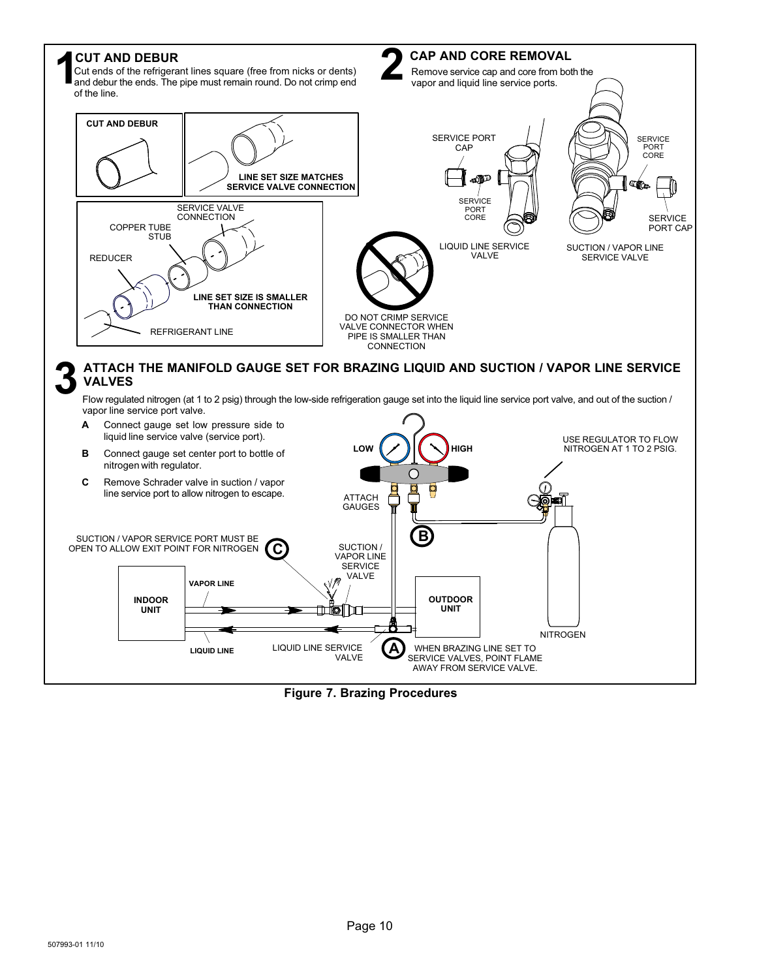<span id="page-9-0"></span>

**Figure 7. Brazing Procedures**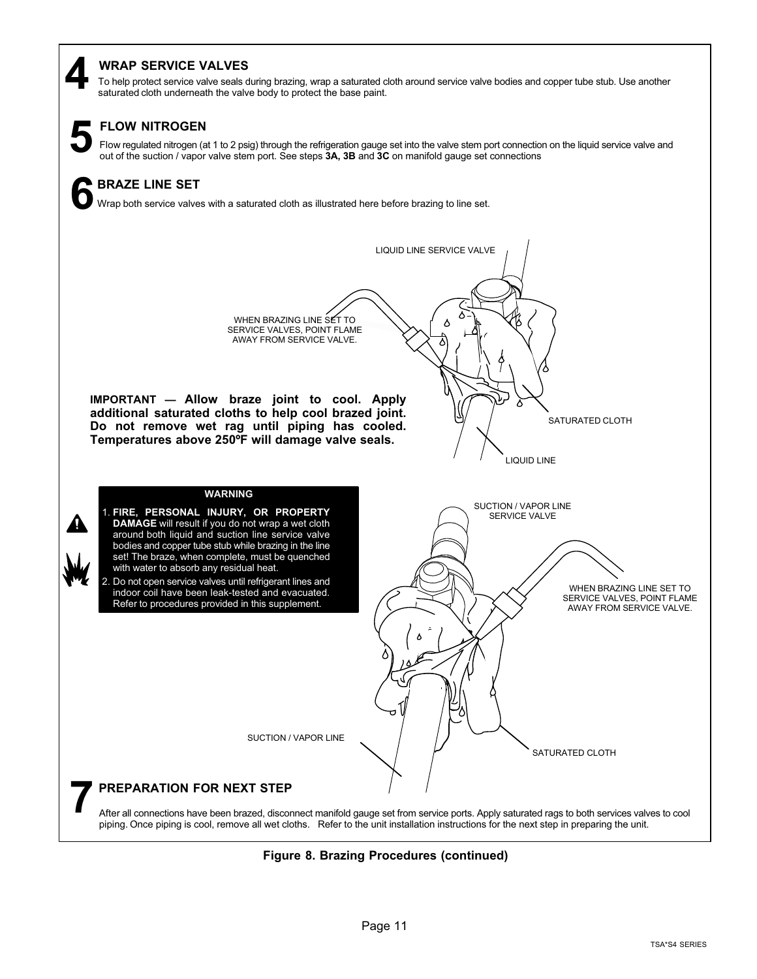#### <span id="page-10-0"></span>**WRAP SERVICE VALVES**

To help protect service valve seals during brazing, wrap a saturated cloth around service valve bodies and copper tube stub. Use another **4** saturated cloth underneath the valve body to protect the base paint.



#### **FLOW NITROGEN**

Flow regulated nitrogen (at 1 to 2 psig) through the refrigeration gauge set into the valve stem port connection on the liquid service valve and out of the suction / vapor valve and out of the suction / vapor valve stem po

### **BRAZE LINE SET 6**

Wrap both service valves with a saturated cloth as illustrated here before brazing to line set.



**Figure 8. Brazing Procedures (continued)**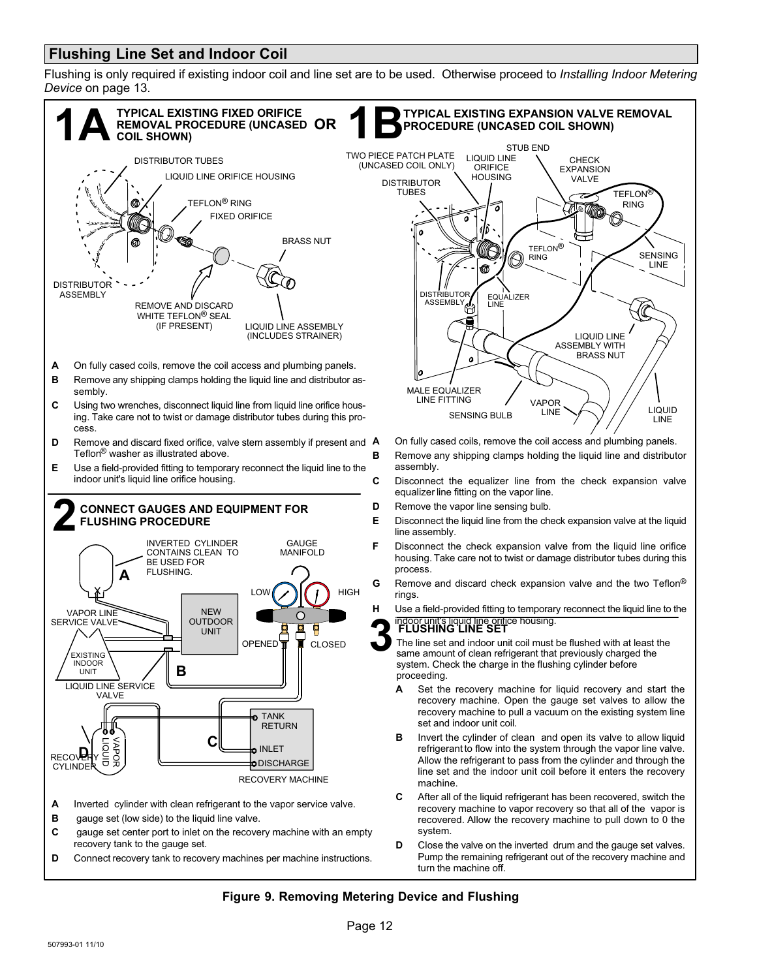#### <span id="page-11-0"></span>**Flushing Line Set and Indoor Coil**

Flushing is only required if existing indoor coil and line set are to be used. Otherwise proceed to *Installing Indoor Metering Device* on page [13](#page-12-0).



#### **Figure 9. Removing Metering Device and Flushing**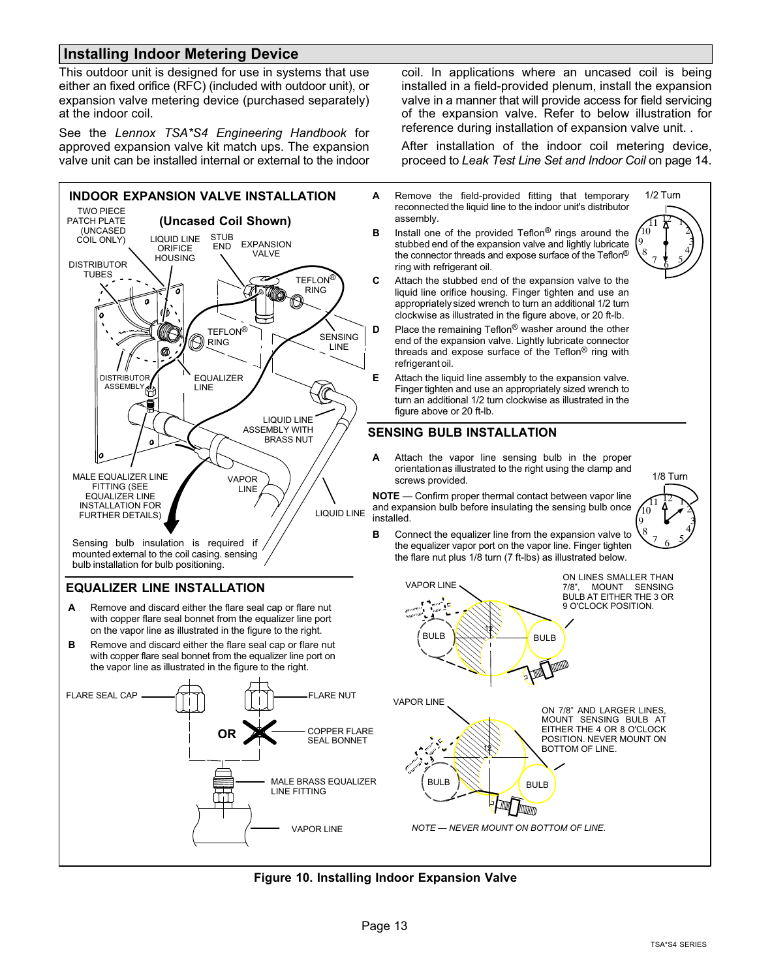#### <span id="page-12-0"></span>**Installing Indoor Metering Device**

This outdoor unit is designed for use in systems that use either an fixed orifice (RFC) (included with outdoor unit), or expansion valve metering device (purchased separately) at the indoor coil.

See the *Lennox TSA\*S4 Engineering Handbook* for approved expansion valve kit match ups. The expansion valve unit can be installed internal or external to the indoor



mounted external to the coil casing. sensing bulb installation for bulb positioning.

#### **EQUALIZER LINE INSTALLATION**

- **A** Remove and discard either the flare seal cap or flare nut with copper flare seal bonnet from the equalizer line port on the vapor line as illustrated in the figure to the right.
- **B** Remove and discard either the flare seal cap or flare nut with copper flare seal bonnet from the equalizer line port on the vapor line as illustrated in the figure to the right.



coil. In applications where an uncased coil is being installed in a field-provided plenum, install the expansion valve in a manner that will provide access for field servicing of the expansion valve. Refer to below illustration for reference during installation of expansion valve unit. .

After installation of the indoor coil metering device, proceed to *Leak Test Line Set and Indoor Coil* on page [14](#page-13-0).

- **A** Remove the field-provided fitting that temporary reconnected the liquid line to the indoor unit's distributor assembly.
- **B** Install one of the provided Teflon® rings around the stubbed end of the expansion valve and lightly lubricate the connector threads and expose surface of the Teflon® ring with refrigerant oil.



- **C** Attach the stubbed end of the expansion valve to the liquid line orifice housing. Finger tighten and use an appropriately sized wrench to turn an additional 1/2 turn clockwise as illustrated in the figure above, or 20 ft-lb.
- **D** Place the remaining Teflon<sup>®</sup> washer around the other end of the expansion valve. Lightly lubricate connector threads and expose surface of the Teflon® ring with refrigerant oil.
- **E** Attach the liquid line assembly to the expansion valve. Finger tighten and use an appropriately sized wrench to turn an additional 1/2 turn clockwise as illustrated in the figure above or 20 ft-lb.

#### **SENSING BULB INSTALLATION**

**A** Attach the vapor line sensing bulb in the proper orientation as illustrated to the right using the clamp and screws provided.

**NOTE** — Confirm proper thermal contact between vapor line and expansion bulb before insulating the sensing bulb once installed.



**B** Connect the equalizer line from the expansion valve to the equalizer vapor port on the vapor line. Finger tighten the flare nut plus 1/8 turn (7 ft-lbs) as illustrated below.



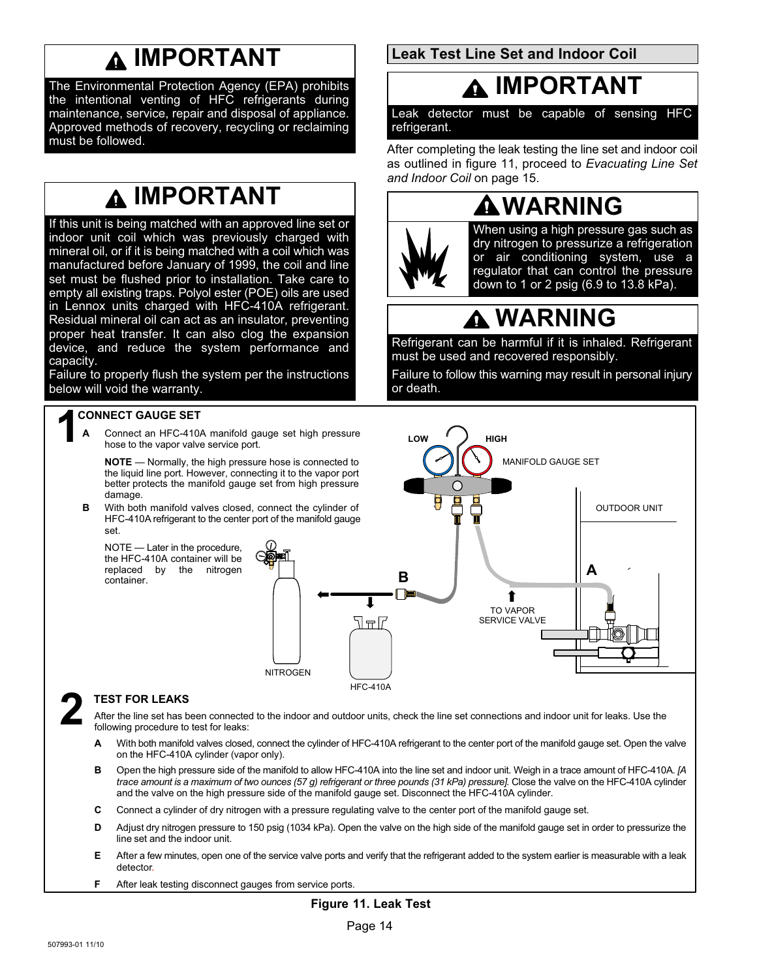## **IMPORTANT**

<span id="page-13-0"></span>The Environmental Protection Agency (EPA) prohibits the intentional venting of HFC refrigerants during maintenance, service, repair and disposal of appliance. Approved methods of recovery, recycling or reclaiming must be followed.

# **IMPORTANT**

If this unit is being matched with an approved line set or indoor unit coil which was previously charged with mineral oil, or if it is being matched with a coil which was manufactured before January of 1999, the coil and line set must be flushed prior to installation. Take care to empty all existing traps. Polyol ester (POE) oils are used in Lennox units charged with HFC-410A refrigerant. Residual mineral oil can act as an insulator, preventing proper heat transfer. It can also clog the expansion device, and reduce the system performance and capacity.

Failure to properly flush the system per the instructions below will void the warranty.

### **1 CONNECT GAUGE SET**

**A** Connect an HFC-410A manifold gauge set high pressure hose to the vapor valve service port.

**NOTE** — Normally, the high pressure hose is connected to the liquid line port. However, connecting it to the vapor port better protects the manifold gauge set from high pressure damage.

**B** With both manifold valves closed, connect the cylinder of HFC-410A refrigerant to the center port of the manifold gauge set.

NOTE — Later in the procedure, the HFC-410A container will be replaced by the nitrogen container.



HFC-410A

#### **2 TEST FOR LEAKS**

After the line set has been connected to the indoor and outdoor units, check the line set connections and indoor unit for leaks. Use the following procedure to test for leaks:

- **A** With both manifold valves closed, connect the cylinder of HFC-410A refrigerant to the center port of the manifold gauge set. Open the valve on the HFC-410A cylinder (vapor only).
- **B** Open the high pressure side of the manifold to allow HFC-410A into the line set and indoor unit. Weigh in a trace amount of HFC-410A. *[A* trace amount is a maximum of two ounces (57 g) refrigerant or three pounds (31 kPa) pressure]. Close the valve on the HFC-410A cylinder and the valve on the high pressure side of the manifold gauge set. Disconnect the HFC-410A cylinder.
- **C** Connect a cylinder of dry nitrogen with a pressure regulating valve to the center port of the manifold gauge set.
- **D** Adjust dry nitrogen pressure to 150 psig (1034 kPa). Open the valve on the high side of the manifold gauge set in order to pressurize the line set and the indoor unit.
- **E** After a few minutes, open one of the service valve ports and verify that the refrigerant added to the system earlier is measurable with a leak detector.
- **F** After leak testing disconnect gauges from service ports.

**Leak Test Line Set and Indoor Coil** 

### **IMPORTANT**

Leak detector must be capable of sensing HFC refrigerant.

After completing the leak testing the line set and indoor coil as outlined in figure 11, proceed to *Evacuating Line Set and Indoor Coil* on page [15.](#page-14-0)



When using a high pressure gas such as dry nitrogen to pressurize a refrigeration or air conditioning system, use a regulator that can control the pressure down to 1 or 2 psig (6.9 to 13.8 kPa).

# **WARNING**

Refrigerant can be harmful if it is inhaled. Refrigerant must be used and recovered responsibly.

Failure to follow this warning may result in personal injury or death.

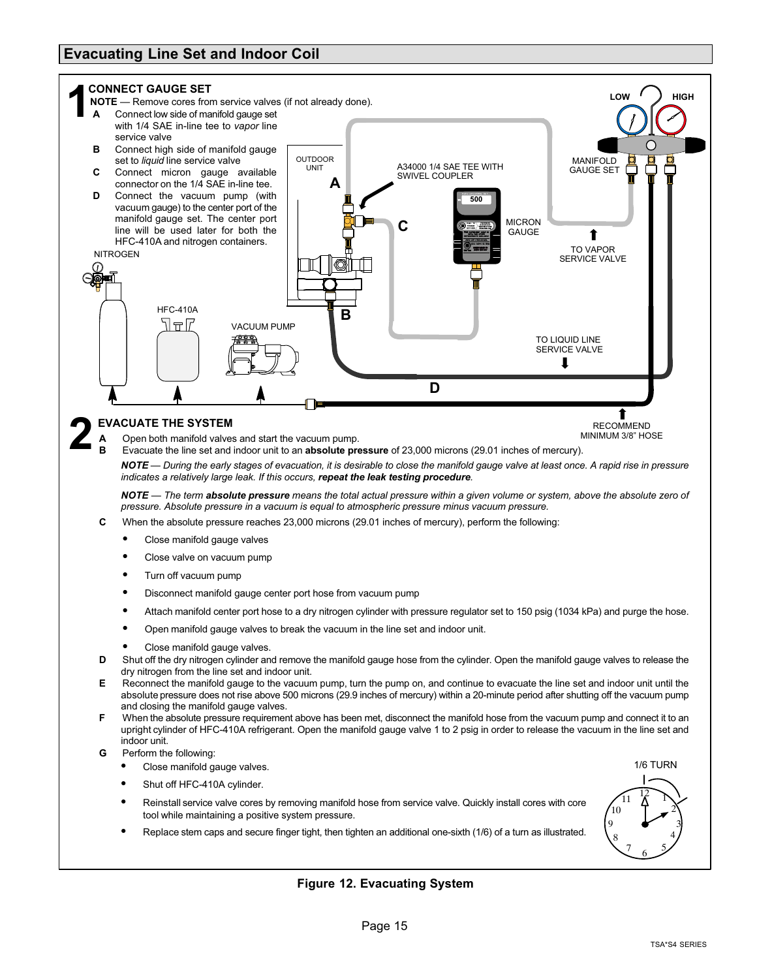#### <span id="page-14-0"></span>**Evacuating Line Set and Indoor Coil**



- **F** When the absolute pressure requirement above has been met, disconnect the manifold hose from the vacuum pump and connect it to an upright cylinder of HFC-410A refrigerant. Open the manifold gauge valve 1 to 2 psig in order to release the vacuum in the line set and indoor unit.
- **G** Perform the following:
	- Close manifold gauge valves.
	- Shut off HFC-410A cylinder.
	- Reinstall service valve cores by removing manifold hose from service valve. Quickly install cores with core tool while maintaining a positive system pressure.
	- Replace stem caps and secure finger tight, then tighten an additional one-sixth (1/6) of a turn as illustrated.



#### **Figure 12. Evacuating System**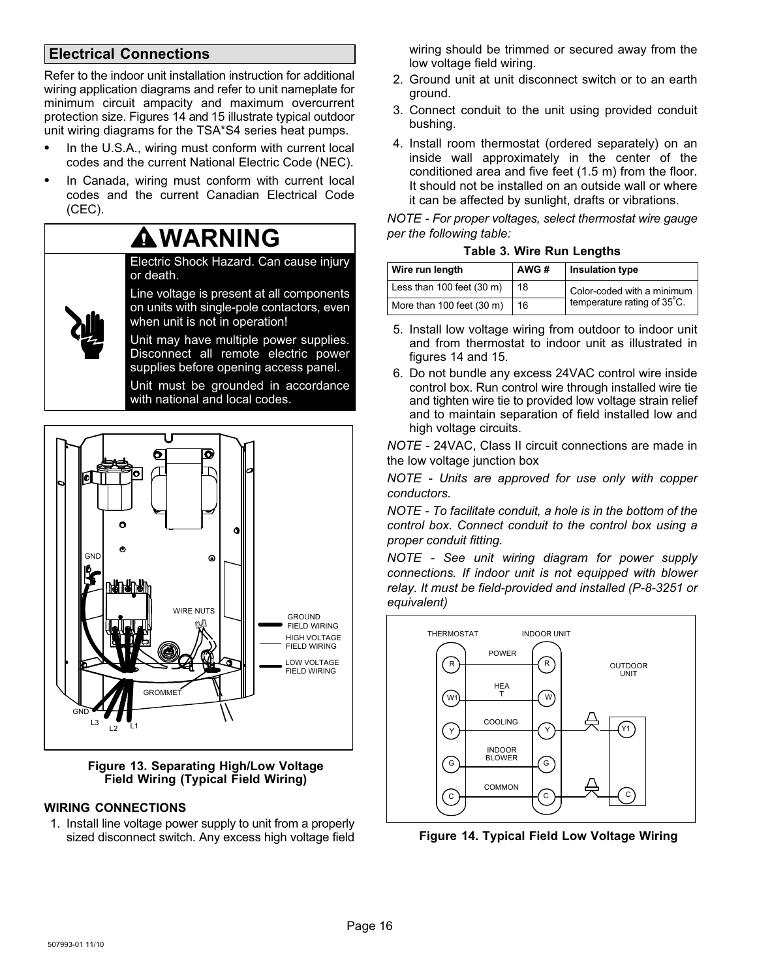#### <span id="page-15-0"></span>**Electrical Connections**

Refer to the indoor unit installation instruction for additional wiring application diagrams and refer to unit nameplate for minimum circuit ampacity and maximum overcurrent protection size. Figures 14 and [15](#page-16-0) illustrate typical outdoor unit wiring diagrams for the TSA\*S4 series heat pumps.

- In the U.S.A., wiring must conform with current local codes and the current National Electric Code (NEC).
- In Canada, wiring must conform with current local codes and the current Canadian Electrical Code (CEC).

### **WARNING**

Electric Shock Hazard. Can cause injury or death.

Line voltage is present at all components on units with single‐pole contactors, even when unit is not in operation!

Unit may have multiple power supplies. Disconnect all remote electric power supplies before opening access panel.

Unit must be grounded in accordance with national and local codes.



#### **Figure 13. Separating High/Low Voltage Field Wiring (Typical Field Wiring)**

#### **WIRING CONNECTIONS**

1. Install line voltage power supply to unit from a properly sized disconnect switch. Any excess high voltage field wiring should be trimmed or secured away from the low voltage field wiring.

- 2. Ground unit at unit disconnect switch or to an earth ground.
- 3. Connect conduit to the unit using provided conduit bushing.
- 4. Install room thermostat (ordered separately) on an inside wall approximately in the center of the conditioned area and five feet (1.5 m) from the floor. It should not be installed on an outside wall or where it can be affected by sunlight, drafts or vibrations.

*NOTE - For proper voltages, select thermostat wire gauge per the following table:*

|  |  |  | <b>Table 3. Wire Run Lengths</b> |
|--|--|--|----------------------------------|
|--|--|--|----------------------------------|

| Wire run length                       | AWG# | Insulation type             |
|---------------------------------------|------|-----------------------------|
| Less than $100$ feet $(30 \text{ m})$ | 18   | Color-coded with a minimum  |
| More than 100 feet (30 m)             | 16   | temperature rating of 35°C. |

- 5. Install low voltage wiring from outdoor to indoor unit and from thermostat to indoor unit as illustrated in figures 14 and [15](#page-16-0).
- 6. Do not bundle any excess 24VAC control wire inside control box. Run control wire through installed wire tie and tighten wire tie to provided low voltage strain relief and to maintain separation of field installed low and high voltage circuits.

*NOTE -* 24VAC, Class II circuit connections are made in the low voltage junction box

*NOTE - Units are approved for use only with copper conductors.*

*NOTE - To facilitate conduit, a hole is in the bottom of the control box. Connect conduit to the control box using a proper conduit fitting.*

*NOTE - See unit wiring diagram for power supply connections. If indoor unit is not equipped with blower relay. It must be field-provided and installed (P-8-3251 or equivalent)*



**Figure 14. Typical Field Low Voltage Wiring**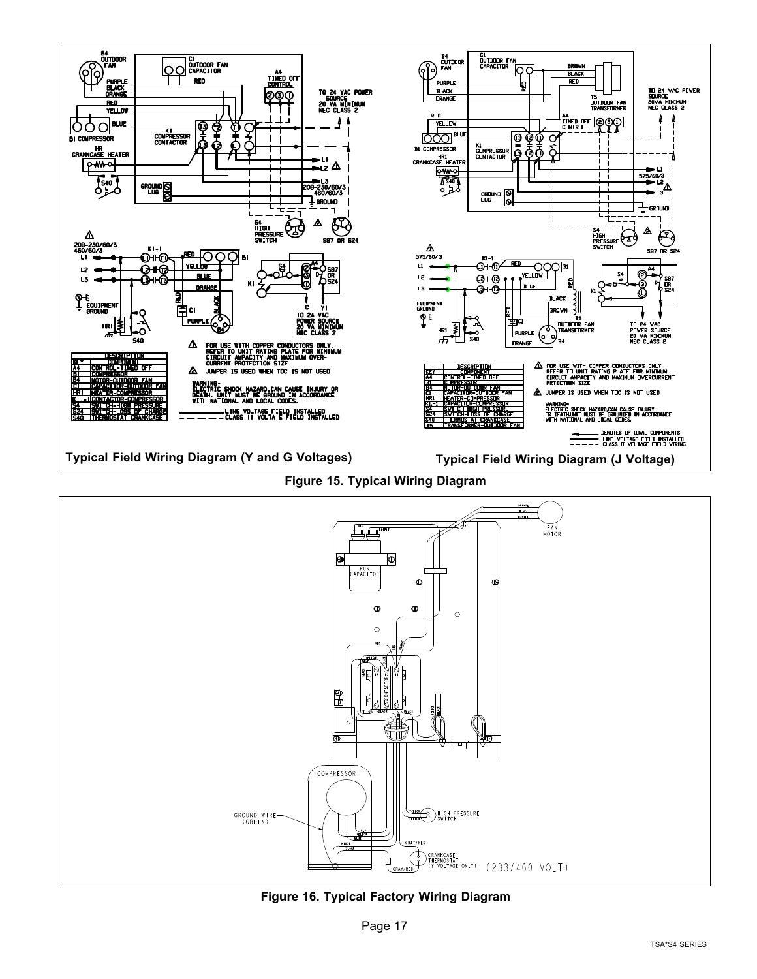<span id="page-16-0"></span>

**Figure 16. Typical Factory Wiring Diagram**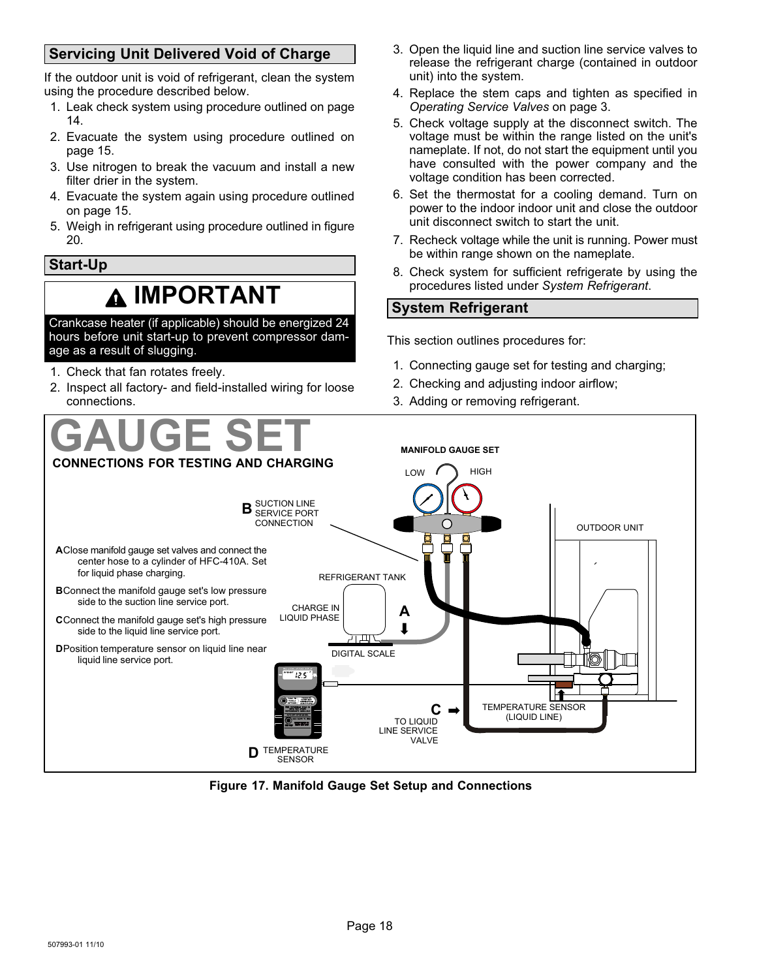#### <span id="page-17-0"></span>**Servicing Unit Delivered Void of Charge**

If the outdoor unit is void of refrigerant, clean the system using the procedure described below.

- 1. Leak check system using procedure outlined on page [14.](#page-13-0)
- 2. Evacuate the system using procedure outlined on page [15.](#page-14-0)
- 3. Use nitrogen to break the vacuum and install a new filter drier in the system.
- 4. Evacuate the system again using procedure outlined on page [15.](#page-14-0)
- 5. Weigh in refrigerant using procedure outlined in figure [20.](#page-19-0)

#### **Start-Up**

### **IMPORTANT**

Crankcase heater (if applicable) should be energized 24 hours before unit start-up to prevent compressor damage as a result of slugging.

- 1. Check that fan rotates freely.
- 2. Inspect all factory- and field-installed wiring for loose connections.
- 3. Open the liquid line and suction line service valves to release the refrigerant charge (contained in outdoor unit) into the system.
- 4. Replace the stem caps and tighten as specified in *Operating Service Valves* on page [3.](#page-2-0)
- 5. Check voltage supply at the disconnect switch. The voltage must be within the range listed on the unit's nameplate. If not, do not start the equipment until you have consulted with the power company and the voltage condition has been corrected.
- 6. Set the thermostat for a cooling demand. Turn on power to the indoor indoor unit and close the outdoor unit disconnect switch to start the unit.
- 7. Recheck voltage while the unit is running. Power must be within range shown on the nameplate.
- 8. Check system for sufficient refrigerate by using the procedures listed under *System Refrigerant*.

#### **System Refrigerant**

This section outlines procedures for:

- 1. Connecting gauge set for testing and charging;
- 2. Checking and adjusting indoor airflow;
- 3. Adding or removing refrigerant.



**Figure 17. Manifold Gauge Set Setup and Connections**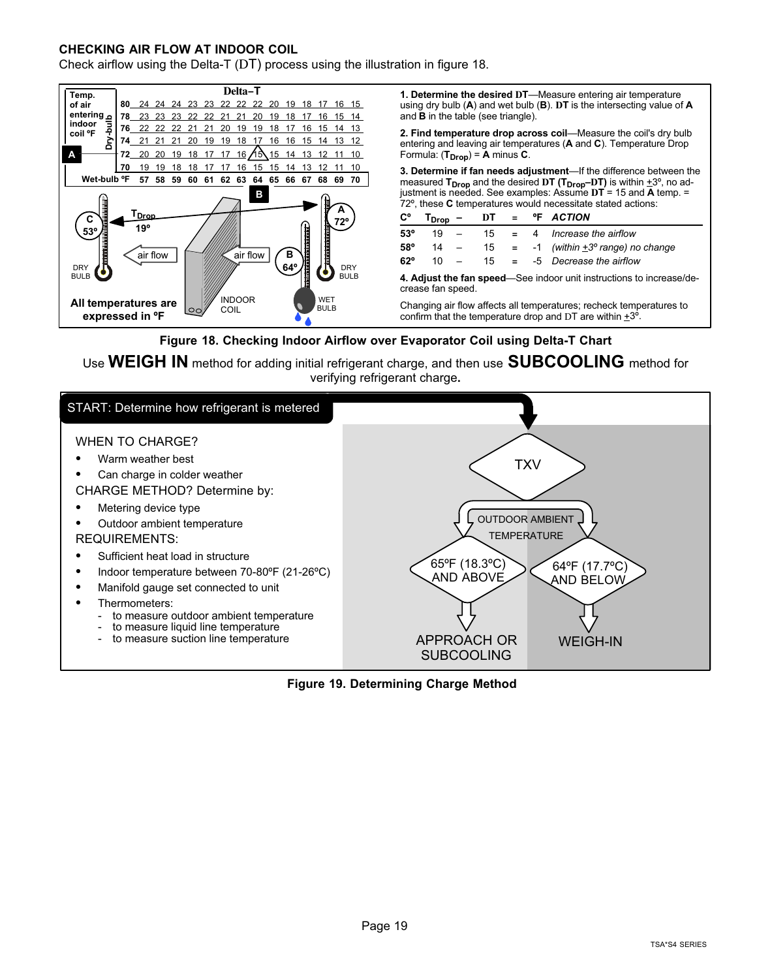#### <span id="page-18-0"></span>**CHECKING AIR FLOW AT INDOOR COIL**

Check airflow using the Delta-T (DT) process using the illustration in figure 18.



#### **Figure 18. Checking Indoor Airflow over Evaporator Coil using Delta-T Chart**

Use **WEIGH IN** method for adding initial refrigerant charge, and then use **SUBCOOLING** method for verifying refrigerant charge**.**



**Figure 19. Determining Charge Method**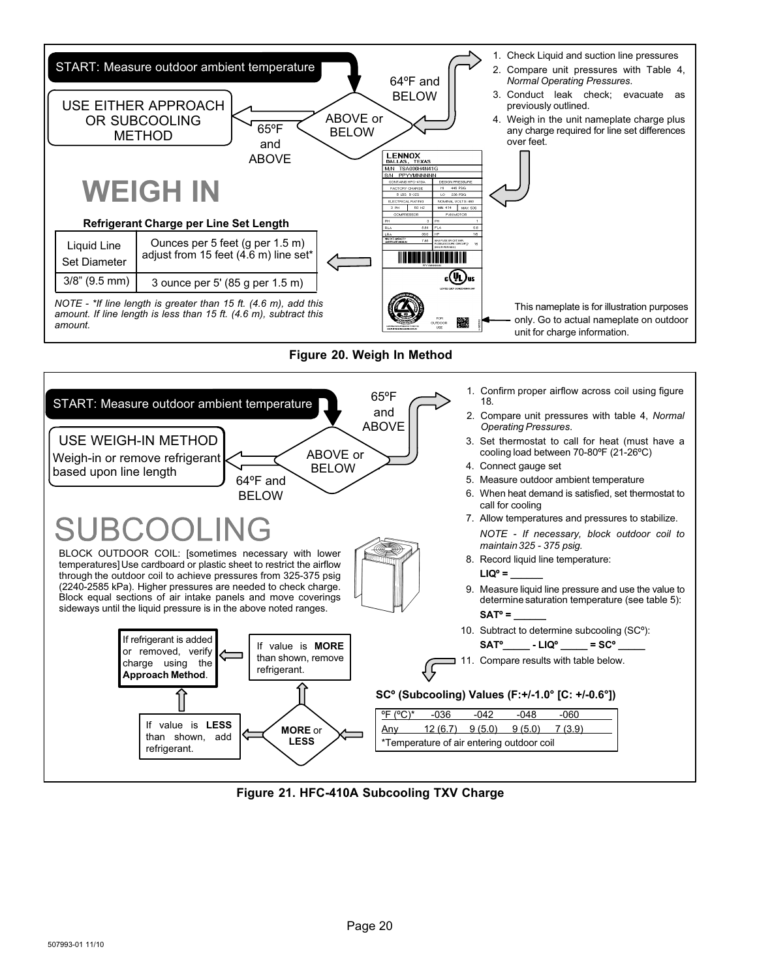<span id="page-19-0"></span>

**Figure 21. HFC-410A Subcooling TXV Charge**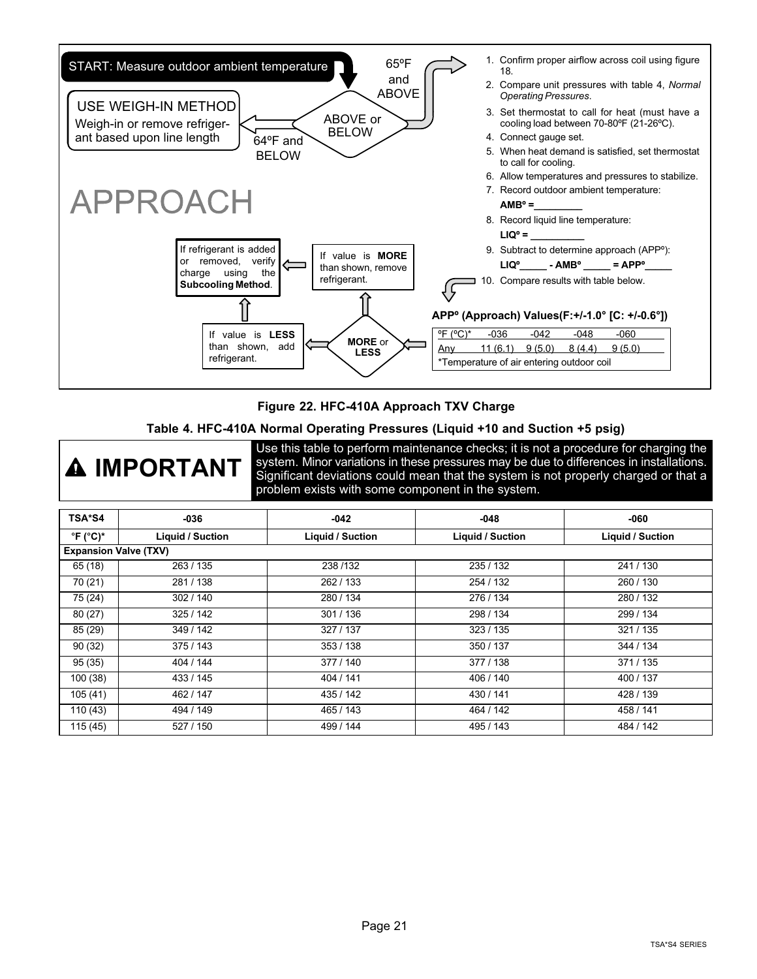<span id="page-20-0"></span>

#### **Figure 22. HFC-410A Approach TXV Charge**

#### **Table 4. HFC-410A Normal Operating Pressures (Liquid +10 and Suction +5 psig)**



Use this table to perform maintenance checks; it is not a procedure for charging the system. Minor variations in these pressures may be due to differences in installations. Significant deviations could mean that the system is not properly charged or that a problem exists with some component in the system.

| TSA*S4                                         | $-036$           | $-042$                  | $-048$           | -060                    |
|------------------------------------------------|------------------|-------------------------|------------------|-------------------------|
| $\mathrm{^{\circ}F}$ ( $\mathrm{^{\circ}C})^*$ | Liquid / Suction | <b>Liquid / Suction</b> | Liquid / Suction | <b>Liquid / Suction</b> |
| <b>Expansion Valve (TXV)</b>                   |                  |                         |                  |                         |
| 65 (18)                                        | 263 / 135        | 238/132                 | 235 / 132        | 241/130                 |
| 70 (21)                                        | 281/138          | 262/133                 | 254 / 132        | 260 / 130               |
| 75 (24)                                        | 302/140          | 280 / 134               | 276 / 134        | 280/132                 |
| 80(27)                                         | 325/142          | 301/136                 | 298 / 134        | 299 / 134               |
| 85 (29)                                        | 349 / 142        | 327 / 137               | 323/135          | 321 / 135               |
| 90(32)                                         | 375/143          | 353 / 138               | 350/137          | 344 / 134               |
| 95(35)                                         | 404 / 144        | 377 / 140               | 377/138          | 371 / 135               |
| 100(38)                                        | 433 / 145        | 404 / 141               | 406 / 140        | 400 / 137               |
| 105(41)                                        | 462 / 147        | 435 / 142               | 430 / 141        | 428 / 139               |
| 110(43)                                        | 494 / 149        | 465 / 143               | 464 / 142        | 458 / 141               |
| 115 (45)                                       | 527 / 150        | 499 / 144               | 495 / 143        | 484 / 142               |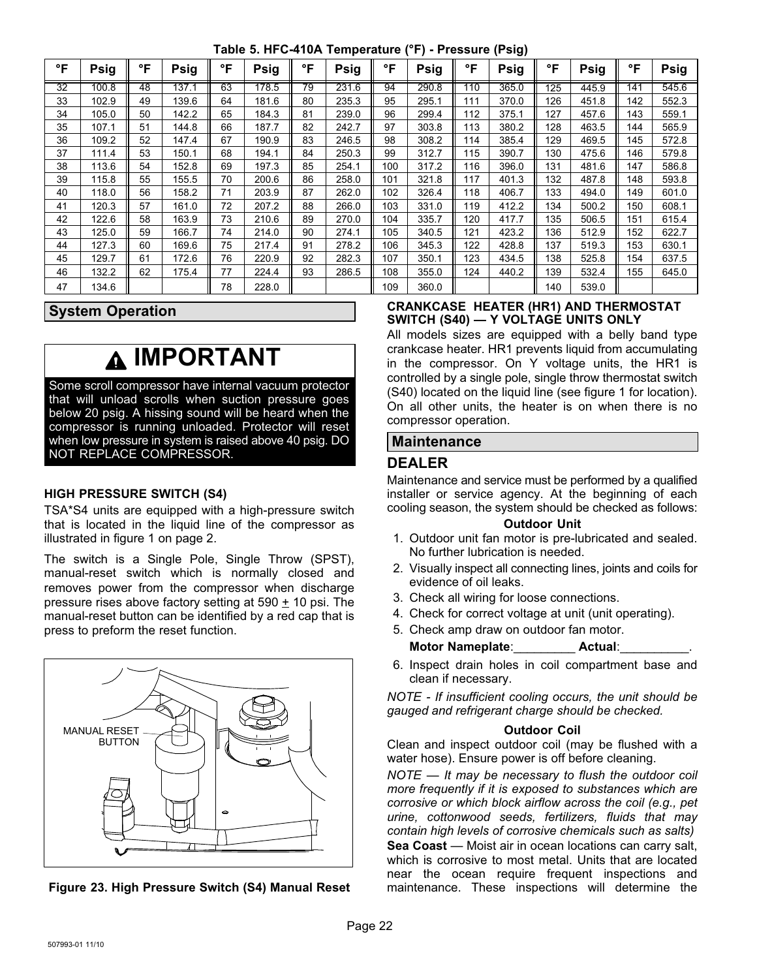**Table 5. HFC-410A Temperature (°F) - Pressure (Psig)**

<span id="page-21-0"></span>

| °F | Psig  | °F | Psig  | °F | Psig  | °F | <b>Psig</b> | °F  | <b>Psig</b> | °F  | <b>Psig</b> | °F  | <b>Psig</b> | °F  | Psig  |
|----|-------|----|-------|----|-------|----|-------------|-----|-------------|-----|-------------|-----|-------------|-----|-------|
| 32 | 100.8 | 48 | 137.1 | 63 | 178.5 | 79 | 231.6       | 94  | 290.8       | 110 | 365.0       | 125 | 445.9       | 141 | 545.6 |
| 33 | 102.9 | 49 | 139.6 | 64 | 181.6 | 80 | 235.3       | 95  | 295.1       | 111 | 370.0       | 126 | 451.8       | 142 | 552.3 |
| 34 | 105.0 | 50 | 142.2 | 65 | 184.3 | 81 | 239.0       | 96  | 299.4       | 112 | 375.1       | 127 | 457.6       | 143 | 559.1 |
| 35 | 107.1 | 51 | 144.8 | 66 | 187.7 | 82 | 242.7       | 97  | 303.8       | 113 | 380.2       | 128 | 463.5       | 144 | 565.9 |
| 36 | 109.2 | 52 | 147.4 | 67 | 190.9 | 83 | 246.5       | 98  | 308.2       | 114 | 385.4       | 129 | 469.5       | 145 | 572.8 |
| 37 | 111.4 | 53 | 150.1 | 68 | 194.1 | 84 | 250.3       | 99  | 312.7       | 115 | 390.7       | 130 | 475.6       | 146 | 579.8 |
| 38 | 113.6 | 54 | 152.8 | 69 | 197.3 | 85 | 254.1       | 100 | 317.2       | 116 | 396.0       | 131 | 481.6       | 147 | 586.8 |
| 39 | 115.8 | 55 | 155.5 | 70 | 200.6 | 86 | 258.0       | 101 | 321.8       | 117 | 401.3       | 132 | 487.8       | 148 | 593.8 |
| 40 | 118.0 | 56 | 158.2 | 71 | 203.9 | 87 | 262.0       | 102 | 326.4       | 118 | 406.7       | 133 | 494.0       | 149 | 601.0 |
| 41 | 120.3 | 57 | 161.0 | 72 | 207.2 | 88 | 266.0       | 103 | 331.0       | 119 | 412.2       | 134 | 500.2       | 150 | 608.1 |
| 42 | 122.6 | 58 | 163.9 | 73 | 210.6 | 89 | 270.0       | 104 | 335.7       | 120 | 417.7       | 135 | 506.5       | 151 | 615.4 |
| 43 | 125.0 | 59 | 166.7 | 74 | 214.0 | 90 | 274.1       | 105 | 340.5       | 121 | 423.2       | 136 | 512.9       | 152 | 622.7 |
| 44 | 127.3 | 60 | 169.6 | 75 | 217.4 | 91 | 278.2       | 106 | 345.3       | 122 | 428.8       | 137 | 519.3       | 153 | 630.1 |
| 45 | 129.7 | 61 | 172.6 | 76 | 220.9 | 92 | 282.3       | 107 | 350.1       | 123 | 434.5       | 138 | 525.8       | 154 | 637.5 |
| 46 | 132.2 | 62 | 175.4 | 77 | 224.4 | 93 | 286.5       | 108 | 355.0       | 124 | 440.2       | 139 | 532.4       | 155 | 645.0 |
| 47 | 134.6 |    |       | 78 | 228.0 |    |             | 109 | 360.0       |     |             | 140 | 539.0       |     |       |

#### **System Operation**

### **IMPORTANT**

Some scroll compressor have internal vacuum protector that will unload scrolls when suction pressure goes below 20 psig. A hissing sound will be heard when the compressor is running unloaded. Protector will reset when low pressure in system is raised above 40 psig. DO NOT REPLACE COMPRESSOR.

#### **HIGH PRESSURE SWITCH (S4)**

TSA\*S4 units are equipped with a high‐pressure switch that is located in the liquid line of the compressor as illustrated in figure [1](#page-1-0) on page 2.

The switch is a Single Pole, Single Throw (SPST), manual-reset switch which is normally closed and removes power from the compressor when discharge pressure rises above factory setting at 590 + 10 psi. The manual-reset button can be identified by a red cap that is press to preform the reset function.





#### **CRANKCASE HEATER (HR1) AND THERMOSTAT SWITCH (S40) — Y VOLTAGE UNITS ONLY**

All models sizes are equipped with a belly band type crankcase heater. HR1 prevents liquid from accumulating in the compressor. On Y voltage units, the HR1 is controlled by a single pole, single throw thermostat switch (S40) located on the liquid line (see figure [1](#page-1-0) for location). On all other units, the heater is on when there is no compressor operation.

#### **Maintenance**

#### **DEALER**

Maintenance and service must be performed by a qualified installer or service agency. At the beginning of each cooling season, the system should be checked as follows:

#### **Outdoor Unit**

- 1. Outdoor unit fan motor is pre-lubricated and sealed. No further lubrication is needed.
- 2. Visually inspect all connecting lines, joints and coils for evidence of oil leaks.
- 3. Check all wiring for loose connections.
- 4. Check for correct voltage at unit (unit operating).
- 5. Check amp draw on outdoor fan motor.

**Motor Nameplate**:\_\_\_\_\_\_\_\_\_ **Actual**:\_\_\_\_\_\_\_\_\_\_.

6. Inspect drain holes in coil compartment base and clean if necessary.

*NOTE ‐ If insufficient cooling occurs, the unit should be gauged and refrigerant charge should be checked.*

#### **Outdoor Coil**

Clean and inspect outdoor coil (may be flushed with a water hose). Ensure power is off before cleaning.

*NOTE — It may be necessary to flush the outdoor coil more frequently if it is exposed to substances which are corrosive or which block airflow across the coil (e.g., pet urine, cottonwood seeds, fertilizers, fluids that may contain high levels of corrosive chemicals such as salts)*

**Sea Coast** — Moist air in ocean locations can carry salt, which is corrosive to most metal. Units that are located near the ocean require frequent inspections and maintenance. These inspections will determine the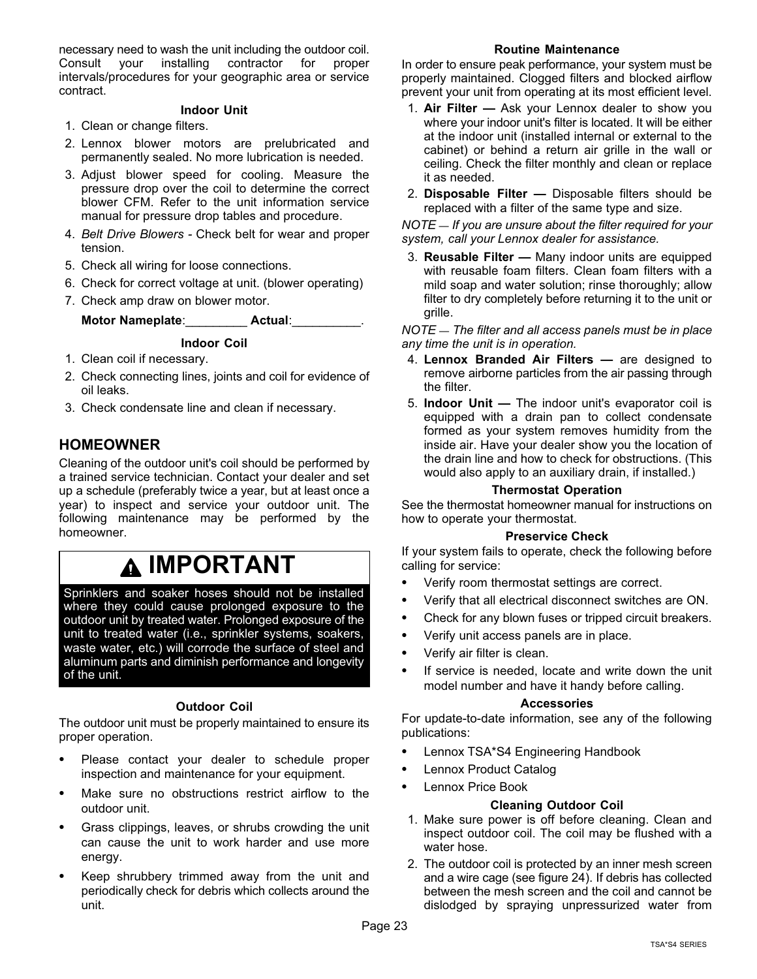necessary need to wash the unit including the outdoor coil. Consult your installing contractor for proper intervals/procedures for your geographic area or service contract.

#### **Indoor Unit**

- 1. Clean or change filters.
- 2. Lennox blower motors are prelubricated and permanently sealed. No more lubrication is needed.
- 3. Adjust blower speed for cooling. Measure the pressure drop over the coil to determine the correct blower CFM. Refer to the unit information service manual for pressure drop tables and procedure.
- 4. *Belt Drive Blowers* Check belt for wear and proper tension.
- 5. Check all wiring for loose connections.
- 6. Check for correct voltage at unit. (blower operating)
- 7. Check amp draw on blower motor.

#### **Indoor Coil**

- 1. Clean coil if necessary.
- 2. Check connecting lines, joints and coil for evidence of oil leaks.
- 3. Check condensate line and clean if necessary.

**Motor Nameplate**:\_\_\_\_\_\_\_\_\_ **Actual**:\_\_\_\_\_\_\_\_\_\_.

#### **HOMEOWNER**

Cleaning of the outdoor unit's coil should be performed by a trained service technician. Contact your dealer and set up a schedule (preferably twice a year, but at least once a year) to inspect and service your outdoor unit. The following maintenance may be performed by the homeowner.

### **IMPORTANT**

Sprinklers and soaker hoses should not be installed where they could cause prolonged exposure to the outdoor unit by treated water. Prolonged exposure of the unit to treated water (i.e., sprinkler systems, soakers, waste water, etc.) will corrode the surface of steel and aluminum parts and diminish performance and longevity of the unit.

#### **Outdoor Coil**

The outdoor unit must be properly maintained to ensure its proper operation.

- Please contact your dealer to schedule proper inspection and maintenance for your equipment.
- Make sure no obstructions restrict airflow to the outdoor unit.
- Grass clippings, leaves, or shrubs crowding the unit can cause the unit to work harder and use more energy.
- Keep shrubbery trimmed away from the unit and periodically check for debris which collects around the unit.

#### **Routine Maintenance**

In order to ensure peak performance, your system must be properly maintained. Clogged filters and blocked airflow prevent your unit from operating at its most efficient level.

- 1. **Air Filter —** Ask your Lennox dealer to show you where your indoor unit's filter is located. It will be either at the indoor unit (installed internal or external to the cabinet) or behind a return air grille in the wall or ceiling. Check the filter monthly and clean or replace it as needed.
- 2. **Disposable Filter —** Disposable filters should be replaced with a filter of the same type and size.

*NOTE — If you are unsure about the filter required for your system, call your Lennox dealer for assistance.*

3. **Reusable Filter —** Many indoor units are equipped with reusable foam filters. Clean foam filters with a mild soap and water solution; rinse thoroughly; allow filter to dry completely before returning it to the unit or grille.

*NOTE — The filter and all access panels must be in place any time the unit is in operation.*

- 4. **Lennox Branded Air Filters** are designed to remove airborne particles from the air passing through the filter.
- 5. **Indoor Unit —** The indoor unit's evaporator coil is equipped with a drain pan to collect condensate formed as your system removes humidity from the inside air. Have your dealer show you the location of the drain line and how to check for obstructions. (This would also apply to an auxiliary drain, if installed.)

#### **Thermostat Operation**

See the thermostat homeowner manual for instructions on how to operate your thermostat.

#### **Preservice Check**

If your system fails to operate, check the following before calling for service:

- Verify room thermostat settings are correct.
- Verify that all electrical disconnect switches are ON.
- Check for any blown fuses or tripped circuit breakers.
- Verify unit access panels are in place.
- Verify air filter is clean.
- If service is needed, locate and write down the unit model number and have it handy before calling.

#### **Accessories**

For update-to-date information, see any of the following publications:

- Lennox TSA\*S4 Engineering Handbook
- Lennox Product Catalog
- Lennox Price Book

#### **Cleaning Outdoor Coil**

- 1. Make sure power is off before cleaning. Clean and inspect outdoor coil. The coil may be flushed with a water hose.
- 2. The outdoor coil is protected by an inner mesh screen and a wire cage (see figure [24](#page-23-0)). If debris has collected between the mesh screen and the coil and cannot be dislodged by spraying unpressurized water from